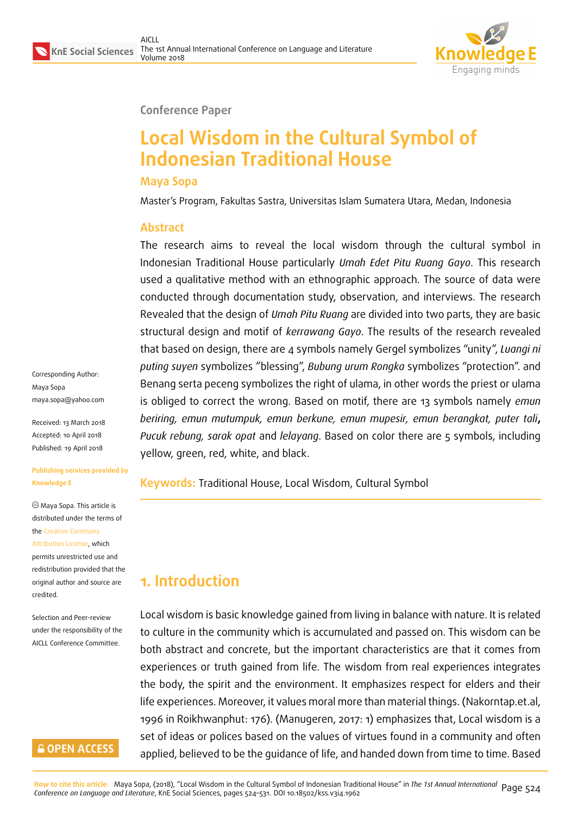

#### **Conference Paper**

# **Local Wisdom in the Cultural Symbol of Indonesian Traditional House**

#### **Maya Sopa**

Master's Program, Fakultas Sastra, Universitas Islam Sumatera Utara, Medan, Indonesia

#### **Abstract**

The research aims to reveal the local wisdom through the cultural symbol in Indonesian Traditional House particularly *Umah Edet Pitu Ruang Gayo*. This research used a qualitative method with an ethnographic approach. The source of data were conducted through documentation study, observation, and interviews. The research Revealed that the design of *Umah Pitu Ruang* are divided into two parts, they are basic structural design and motif of *kerrawang Gayo*. The results of the research revealed that based on design, there are 4 symbols namely Gergel symbolizes "unity", *Luangi ni puting suyen* symbolizes "blessing", *Bubung urum Rongka* symbolizes "protection". and Benang serta peceng symbolizes the right of ulama, in other words the priest or ulama is obliged to correct the wrong. Based on motif, there are 13 symbols namely *emun beriring, emun mutumpuk, emun berkune, emun mupesir, emun berangkat, puter tali***,** *Pucuk rebung, sarak opat* and *lelayang*. Based on color there are 5 symbols, including yellow, green, red, white, and black.

**Keywords:** Traditional House, Local Wisdom, Cultural Symbol

# **1. Introduction**

Local wisdom is basic knowledge gained from living in balance with nature. It is related to culture in the community which is accumulated and passed on. This wisdom can be both abstract and concrete, but the important characteristics are that it comes from experiences or truth gained from life. The wisdom from real experiences integrates the body, the spirit and the environment. It emphasizes respect for elders and their life experiences. Moreover, it values moral more than material things. (Nakorntap.et.al, 1996 in Roikhwanphut: 176). (Manugeren, 2017: 1) emphasizes that, Local wisdom is a set of ideas or polices based on the values of virtues found in a community and often applied, believed to be the guidance of life, and handed down from time to time. Based

Corresponding Author: Maya Sopa maya.sopa@yahoo.com

Received: 13 March 2018 Accepted: 10 April 2018 [Published: 19 April 2018](mailto:maya.sopa@yahoo.com)

**Publishing services provided by Knowledge E**

Maya Sopa. This article is distributed under the terms of the Creative Commons Attribution License, which permits unrestricted use and

redistribution provided that the ori[ginal author and sou](https://creativecommons.org/licenses/by/4.0/)rce are [credited.](https://creativecommons.org/licenses/by/4.0/)

Selection and Peer-review under the responsibility of the AICLL Conference Committee.

### **GOPEN ACCESS**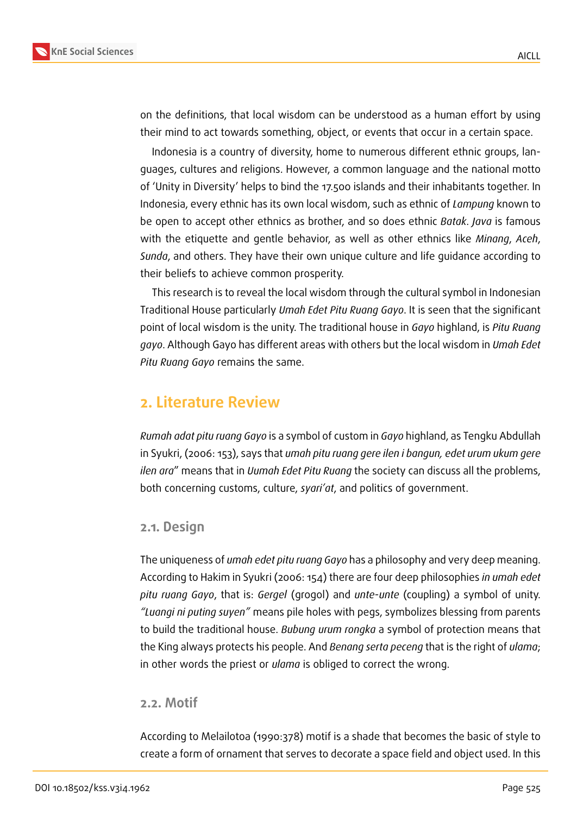

on the definitions, that local wisdom can be understood as a human effort by using their mind to act towards something, object, or events that occur in a certain space.

Indonesia is a country of diversity, home to numerous different ethnic groups, languages, cultures and religions. However, a common language and the national motto of 'Unity in Diversity' helps to bind the 17.500 islands and their inhabitants together. In Indonesia, every ethnic has its own local wisdom, such as ethnic of *Lampung* known to be open to accept other ethnics as brother, and so does ethnic *Batak*. *Java* is famous with the etiquette and gentle behavior, as well as other ethnics like *Minang*, *Aceh*, *Sunda*, and others. They have their own unique culture and life guidance according to their beliefs to achieve common prosperity.

This research is to reveal the local wisdom through the cultural symbol in Indonesian Traditional House particularly *Umah Edet Pitu Ruang Gayo*. It is seen that the significant point of local wisdom is the unity. The traditional house in *Gayo* highland, is *Pitu Ruang gayo*. Although Gayo has different areas with others but the local wisdom in *Umah Edet Pitu Ruang Gayo* remains the same.

## **2. Literature Review**

*Rumah adat pitu ruang Gayo* is a symbol of custom in *Gayo* highland, as Tengku Abdullah in Syukri, (2006: 153), says that *umah pitu ruang gere ilen i bangun, edet urum ukum gere ilen ara*" means that in *Uumah Edet Pitu Ruang* the society can discuss all the problems, both concerning customs, culture, *syari'at*, and politics of government.

#### **2.1. Design**

The uniqueness of *umah edet pitu ruang Gayo* has a philosophy and very deep meaning. According to Hakim in Syukri (2006: 154) there are four deep philosophies *in umah edet pitu ruang Gayo*, that is: *Gergel* (grogol) and *unte*-*unte* (coupling) a symbol of unity. *"Luangi ni puting suyen"* means pile holes with pegs, symbolizes blessing from parents to build the traditional house. *Bubung urum rongka* a symbol of protection means that the King always protects his people. And *Benang serta peceng* that is the right of *ulama*; in other words the priest or *ulama* is obliged to correct the wrong.

#### **2.2. Motif**

According to Melailotoa (1990:378) motif is a shade that becomes the basic of style to create a form of ornament that serves to decorate a space field and object used. In this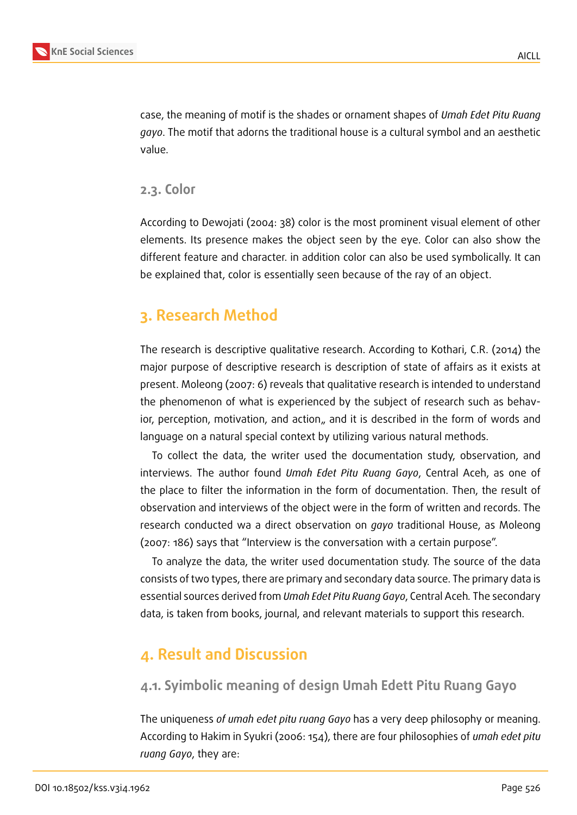

case, the meaning of motif is the shades or ornament shapes of *Umah Edet Pitu Ruang gayo*. The motif that adorns the traditional house is a cultural symbol and an aesthetic value.

#### **2.3. Color**

According to Dewojati (2004: 38) color is the most prominent visual element of other elements. Its presence makes the object seen by the eye. Color can also show the different feature and character. in addition color can also be used symbolically. It can be explained that, color is essentially seen because of the ray of an object.

# **3. Research Method**

The research is descriptive qualitative research. According to Kothari, C.R. (2014) the major purpose of descriptive research is description of state of affairs as it exists at present. Moleong (2007: 6) reveals that qualitative research is intended to understand the phenomenon of what is experienced by the subject of research such as behavior, perception, motivation, and action,, and it is described in the form of words and language on a natural special context by utilizing various natural methods.

To collect the data, the writer used the documentation study, observation, and interviews. The author found *Umah Edet Pitu Ruang Gayo*, Central Aceh, as one of the place to filter the information in the form of documentation. Then, the result of observation and interviews of the object were in the form of written and records. The research conducted wa a direct observation on *gayo* traditional House, as Moleong (2007: 186) says that "Interview is the conversation with a certain purpose".

To analyze the data, the writer used documentation study. The source of the data consists of two types, there are primary and secondary data source. The primary data is essential sources derived from *Umah Edet Pitu Ruang Gayo*, Central Aceh*.* The secondary data, is taken from books, journal, and relevant materials to support this research.

# **4. Result and Discussion**

### **4.1. Syimbolic meaning of design Umah Edett Pitu Ruang Gayo**

The uniqueness *of umah edet pitu ruang Gayo* has a very deep philosophy or meaning. According to Hakim in Syukri (2006: 154), there are four philosophies of *umah edet pitu ruang Gayo*, they are: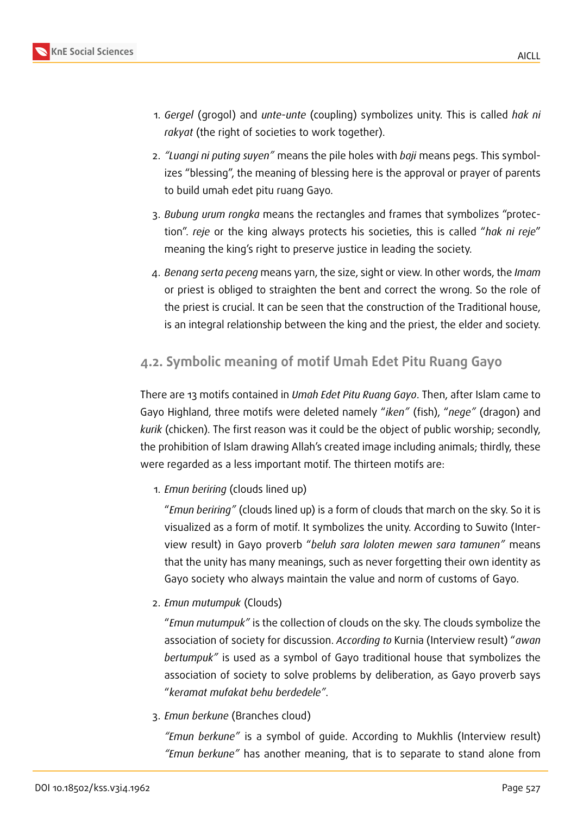

- 1. *Gergel* (grogol) and *unte*-*unte* (coupling) symbolizes unity. This is called *hak ni rakyat* (the right of societies to work together).
- 2. *"Luangi ni puting suyen"* means the pile holes with *baji* means pegs. This symbolizes "blessing", the meaning of blessing here is the approval or prayer of parents to build umah edet pitu ruang Gayo.
- 3. *Bubung urum rongka* means the rectangles and frames that symbolizes "protection". *reje* or the king always protects his societies, this is called "*hak ni reje*" meaning the king's right to preserve justice in leading the society.
- 4. *Benang serta peceng* means yarn, the size, sight or view. In other words, the *Imam* or priest is obliged to straighten the bent and correct the wrong. So the role of the priest is crucial. It can be seen that the construction of the Traditional house, is an integral relationship between the king and the priest, the elder and society.

# **4.2. Symbolic meaning of motif Umah Edet Pitu Ruang Gayo**

There are 13 motifs contained in *Umah Edet Pitu Ruang Gayo*. Then, after Islam came to Gayo Highland, three motifs were deleted namely "*iken"* (fish), "*nege"* (dragon) and *kurik* (chicken). The first reason was it could be the object of public worship; secondly, the prohibition of Islam drawing Allah's created image including animals; thirdly, these were regarded as a less important motif. The thirteen motifs are:

1. *Emun beriring* (clouds lined up)

"*Emun beriring"* (clouds lined up) is a form of clouds that march on the sky. So it is visualized as a form of motif. It symbolizes the unity. According to Suwito (Interview result) in Gayo proverb "*beluh sara loloten mewen sara tamunen"* means that the unity has many meanings, such as never forgetting their own identity as Gayo society who always maintain the value and norm of customs of Gayo.

2. *Emun mutumpuk* (Clouds)

"*Emun mutumpuk"* is the collection of clouds on the sky. The clouds symbolize the association of society for discussion. *According to* Kurnia (Interview result) "*awan bertumpuk"* is used as a symbol of Gayo traditional house that symbolizes the association of society to solve problems by deliberation, as Gayo proverb says "*keramat mufakat behu berdedele"*.

3. *Emun berkune* (Branches cloud)

*"Emun berkune"* is a symbol of guide. According to Mukhlis (Interview result) *"Emun berkune"* has another meaning, that is to separate to stand alone from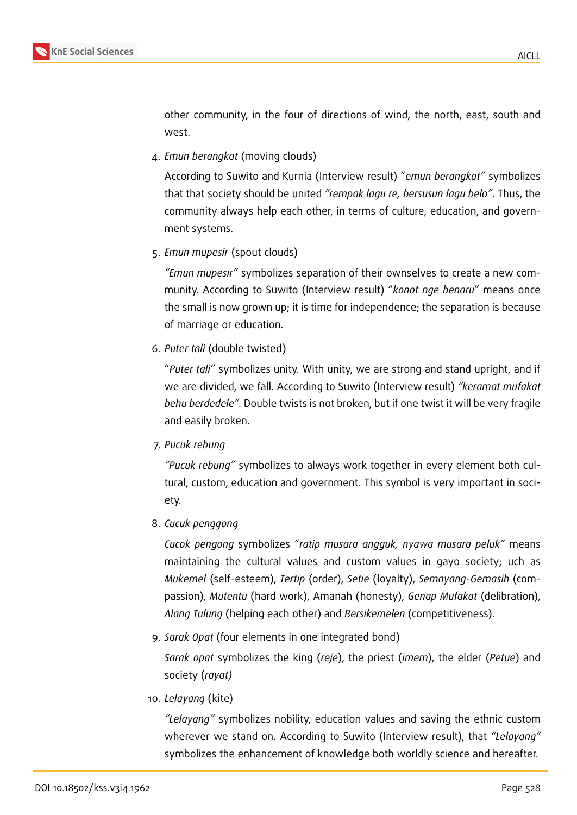

other community, in the four of directions of wind, the north, east, south and west.

4. *Emun berangkat* (moving clouds)

According to Suwito and Kurnia (Interview result) "*emun berangkat"* symbolizes that that society should be united *"rempak lagu re, bersusun lagu belo"*. Thus, the community always help each other, in terms of culture, education, and government systems.

5. *Emun mupesir* (spout clouds)

*"Emun mupesir"* symbolizes separation of their ownselves to create a new community. According to Suwito (Interview result) "*konot nge benaru*" means once the small is now grown up; it is time for independence; the separation is because of marriage or education.

6. *Puter tali* (double twisted)

"*Puter tali*" symbolizes unity. With unity, we are strong and stand upright, and if we are divided, we fall. According to Suwito (Interview result) *"keramat mufakat behu berdedele".* Double twists is not broken, but if one twist it will be very fragile and easily broken.

7. *Pucuk rebung*

*"Pucuk rebung"* symbolizes to always work together in every element both cultural, custom, education and government. This symbol is very important in society.

8. *Cucuk penggong*

*Cucok pengong* symbolizes "*ratip musara angguk, nyawa musara peluk"* means maintaining the cultural values and custom values in gayo society; uch as *Mukemel* (self-esteem), *Tertip* (order), *Setie* (loyalty), *Semayang*-*Gemasih* (compassion), *Mutentu* (hard work), Amanah (honesty), *Genap Mufakat* (delibration), *Alang Tulung* (helping each other) and *Bersikemelen* (competitiveness).

9. *Sarak Opat* (four elements in one integrated bond)

*Sarak opat* symbolizes the king (*reje*), the priest (*imem*), the elder (*Petue*) and society (*rayat)*

10. *Lelayang* (kite)

*"Lelayang"* symbolizes nobility, education values and saving the ethnic custom wherever we stand on. According to Suwito (Interview result), that *"Lelayang"* symbolizes the enhancement of knowledge both worldly science and hereafter.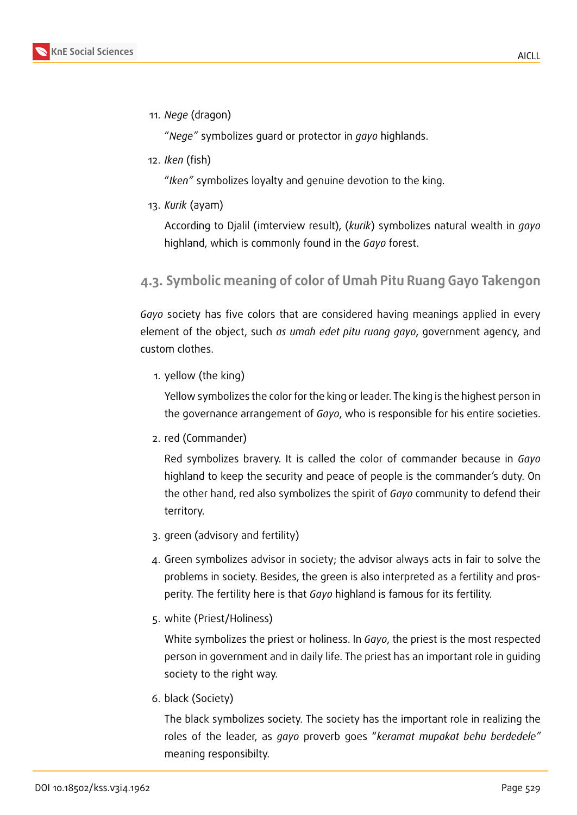

11. *Nege* (dragon)

"*Nege"* symbolizes guard or protector in *gayo* highlands.

12. *Iken* (fish)

"*Iken"* symbolizes loyalty and genuine devotion to the king.

13. *Kurik* (ayam)

According to Djalil (imterview result), (*kurik*) symbolizes natural wealth in *gayo* highland, which is commonly found in the *Gayo* forest.

### **4.3. Symbolic meaning of color of Umah Pitu Ruang Gayo Takengon**

*Gayo* society has five colors that are considered having meanings applied in every element of the object, such *as umah edet pitu ruang gayo*, government agency, and custom clothes.

1. yellow (the king)

Yellow symbolizes the color for the king or leader. The king is the highest person in the governance arrangement of *Gayo*, who is responsible for his entire societies.

2. red (Commander)

Red symbolizes bravery. It is called the color of commander because in *Gayo* highland to keep the security and peace of people is the commander's duty. On the other hand, red also symbolizes the spirit of *Gayo* community to defend their territory.

- 3. green (advisory and fertility)
- 4. Green symbolizes advisor in society; the advisor always acts in fair to solve the problems in society. Besides, the green is also interpreted as a fertility and prosperity. The fertility here is that *Gayo* highland is famous for its fertility.
- 5. white (Priest/Holiness)

White symbolizes the priest or holiness. In *Gayo*, the priest is the most respected person in government and in daily life. The priest has an important role in guiding society to the right way.

6. black (Society)

The black symbolizes society. The society has the important role in realizing the roles of the leader, as *gayo* proverb goes "*keramat mupakat behu berdedele"* meaning responsibilty.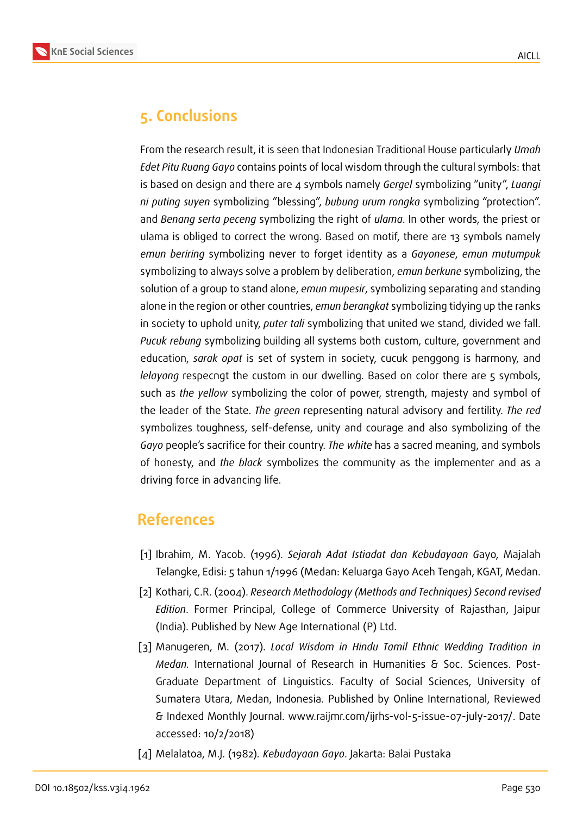

# **5. Conclusions**

From the research result, it is seen that Indonesian Traditional House particularly *Umah Edet Pitu Ruang Gayo* contains points of local wisdom through the cultural symbols: that is based on design and there are 4 symbols namely *Gergel* symbolizing "unity", *Luangi ni puting suyen* symbolizing "blessing", *bubung urum rongka* symbolizing "protection". and *Benang serta peceng* symbolizing the right of *ulama*. In other words, the priest or ulama is obliged to correct the wrong. Based on motif, there are 13 symbols namely *emun beriring* symbolizing never to forget identity as a *Gayonese*, *emun mutumpuk* symbolizing to always solve a problem by deliberation, *emun berkune* symbolizing, the solution of a group to stand alone, *emun mupesir*, symbolizing separating and standing alone in the region or other countries, *emun berangkat* symbolizing tidying up the ranks in society to uphold unity, *puter tali* symbolizing that united we stand, divided we fall. *Pucuk rebung* symbolizing building all systems both custom, culture, government and education, *sarak opat* is set of system in society, cucuk penggong is harmony, and *lelayang* respecngt the custom in our dwelling. Based on color there are 5 symbols, such as *the yellow* symbolizing the color of power, strength, majesty and symbol of the leader of the State. *The green* representing natural advisory and fertility. *The red* symbolizes toughness, self-defense, unity and courage and also symbolizing of the *Gayo* people's sacrifice for their country. *The white* has a sacred meaning, and symbols of honesty, and *the black* symbolizes the community as the implementer and as a driving force in advancing life.

### **References**

- [1] Ibrahim, M. Yacob. (1996). *Sejarah Adat Istiadat dan Kebudayaan G*ayo, Majalah Telangke, Edisi: 5 tahun 1/1996 (Medan: Keluarga Gayo Aceh Tengah, KGAT, Medan.
- [2] Kothari, C.R. (2004). *Research Methodology (Methods and Techniques) Second revised Edition*. Former Principal, College of Commerce University of Rajasthan, Jaipur (India). Published by New Age International (P) Ltd.
- [3] Manugeren, M. (2017). *Local Wisdom in Hindu Tamil Ethnic Wedding Tradition in Medan.* International Journal of Research in Humanities & Soc. Sciences. Post-Graduate Department of Linguistics. Faculty of Social Sciences, University of Sumatera Utara, Medan, Indonesia. Published by Online International, Reviewed & Indexed Monthly Journal. www.raijmr.com/ijrhs-vol-5-issue-07-july-2017/. Date accessed: 10/2/2018)
- [4] Melalatoa, M.J. (1982)*. Kebudayaan Gayo*. Jakarta: Balai Pustaka